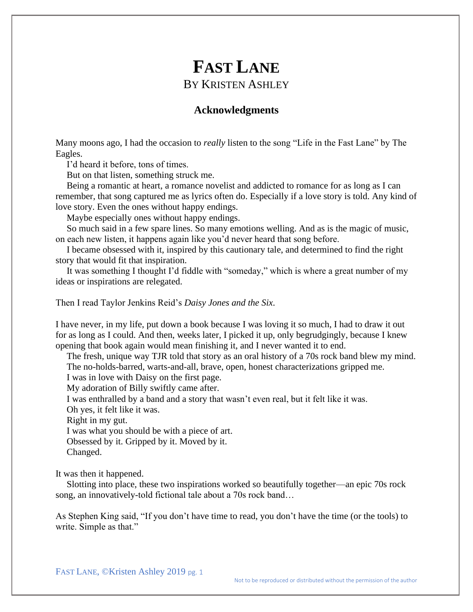# **FAST LANE** BY KRISTEN ASHLEY

## **Acknowledgments**

Many moons ago, I had the occasion to *really* listen to the song "Life in the Fast Lane" by The Eagles.

I'd heard it before, tons of times.

But on that listen, something struck me.

Being a romantic at heart, a romance novelist and addicted to romance for as long as I can remember, that song captured me as lyrics often do. Especially if a love story is told. Any kind of love story. Even the ones without happy endings.

Maybe especially ones without happy endings.

So much said in a few spare lines. So many emotions welling. And as is the magic of music, on each new listen, it happens again like you'd never heard that song before.

I became obsessed with it, inspired by this cautionary tale, and determined to find the right story that would fit that inspiration.

It was something I thought I'd fiddle with "someday," which is where a great number of my ideas or inspirations are relegated.

Then I read Taylor Jenkins Reid's *Daisy Jones and the Six*.

I have never, in my life, put down a book because I was loving it so much, I had to draw it out for as long as I could. And then, weeks later, I picked it up, only begrudgingly, because I knew opening that book again would mean finishing it, and I never wanted it to end.

The fresh, unique way TJR told that story as an oral history of a 70s rock band blew my mind. The no-holds-barred, warts-and-all, brave, open, honest characterizations gripped me.

I was in love with Daisy on the first page.

My adoration of Billy swiftly came after.

I was enthralled by a band and a story that wasn't even real, but it felt like it was.

Oh yes, it felt like it was.

Right in my gut.

I was what you should be with a piece of art.

Obsessed by it. Gripped by it. Moved by it.

Changed.

It was then it happened.

Slotting into place, these two inspirations worked so beautifully together—an epic 70s rock song, an innovatively-told fictional tale about a 70s rock band…

As Stephen King said, "If you don't have time to read, you don't have the time (or the tools) to write. Simple as that."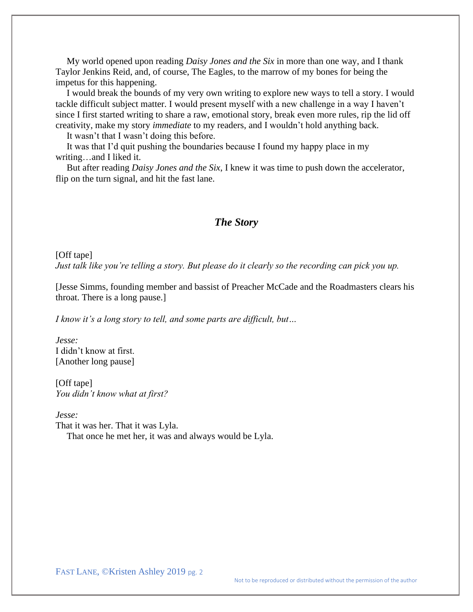My world opened upon reading *Daisy Jones and the Six* in more than one way, and I thank Taylor Jenkins Reid, and, of course, The Eagles, to the marrow of my bones for being the impetus for this happening.

I would break the bounds of my very own writing to explore new ways to tell a story. I would tackle difficult subject matter. I would present myself with a new challenge in a way I haven't since I first started writing to share a raw, emotional story, break even more rules, rip the lid off creativity, make my story *immediate* to my readers, and I wouldn't hold anything back.

It wasn't that I wasn't doing this before.

It was that I'd quit pushing the boundaries because I found my happy place in my writing…and I liked it.

But after reading *Daisy Jones and the Six*, I knew it was time to push down the accelerator, flip on the turn signal, and hit the fast lane.

# *The Story*

# [Off tape] *Just talk like you're telling a story. But please do it clearly so the recording can pick you up.*

[Jesse Simms, founding member and bassist of Preacher McCade and the Roadmasters clears his throat. There is a long pause.]

*I know it's a long story to tell, and some parts are difficult, but…*

*Jesse:* I didn't know at first. [Another long pause]

[Off tape] *You didn't know what at first?*

*Jesse:*

That it was her. That it was Lyla. That once he met her, it was and always would be Lyla.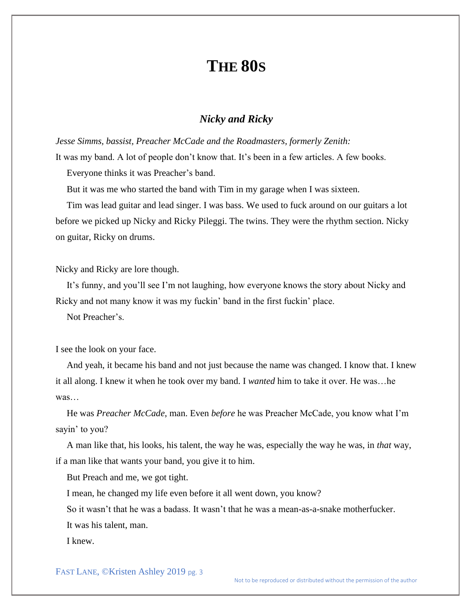# **THE 80S**

## *Nicky and Ricky*

*Jesse Simms, bassist, Preacher McCade and the Roadmasters, formerly Zenith:* It was my band. A lot of people don't know that. It's been in a few articles. A few books.

Everyone thinks it was Preacher's band.

But it was me who started the band with Tim in my garage when I was sixteen.

Tim was lead guitar and lead singer. I was bass. We used to fuck around on our guitars a lot before we picked up Nicky and Ricky Pileggi. The twins. They were the rhythm section. Nicky on guitar, Ricky on drums.

Nicky and Ricky are lore though.

It's funny, and you'll see I'm not laughing, how everyone knows the story about Nicky and Ricky and not many know it was my fuckin' band in the first fuckin' place.

Not Preacher's.

I see the look on your face.

And yeah, it became his band and not just because the name was changed. I know that. I knew it all along. I knew it when he took over my band. I *wanted* him to take it over. He was…he was…

He was *Preacher McCade*, man. Even *before* he was Preacher McCade, you know what I'm sayin' to you?

A man like that, his looks, his talent, the way he was, especially the way he was, in *that* way, if a man like that wants your band, you give it to him.

But Preach and me, we got tight.

I mean, he changed my life even before it all went down, you know?

So it wasn't that he was a badass. It wasn't that he was a mean-as-a-snake motherfucker. It was his talent, man.

I knew.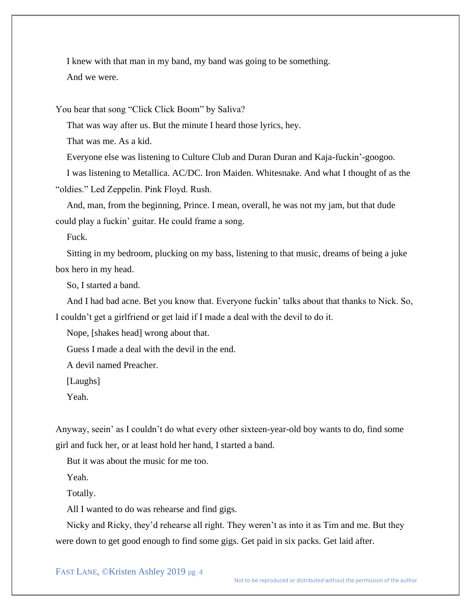I knew with that man in my band, my band was going to be something. And we were.

You hear that song "Click Click Boom" by Saliva?

That was way after us. But the minute I heard those lyrics, hey.

That was me. As a kid.

Everyone else was listening to Culture Club and Duran Duran and Kaja-fuckin'-googoo.

I was listening to Metallica. AC/DC. Iron Maiden. Whitesnake. And what I thought of as the "oldies." Led Zeppelin. Pink Floyd. Rush.

And, man, from the beginning, Prince. I mean, overall, he was not my jam, but that dude could play a fuckin' guitar. He could frame a song.

Fuck.

Sitting in my bedroom, plucking on my bass, listening to that music, dreams of being a juke box hero in my head.

So, I started a band.

And I had bad acne. Bet you know that. Everyone fuckin' talks about that thanks to Nick. So, I couldn't get a girlfriend or get laid if I made a deal with the devil to do it.

Nope, [shakes head] wrong about that.

Guess I made a deal with the devil in the end.

A devil named Preacher.

[Laughs]

Yeah.

Anyway, seein' as I couldn't do what every other sixteen-year-old boy wants to do, find some girl and fuck her, or at least hold her hand, I started a band.

But it was about the music for me too.

Yeah.

Totally.

All I wanted to do was rehearse and find gigs.

Nicky and Ricky, they'd rehearse all right. They weren't as into it as Tim and me. But they were down to get good enough to find some gigs. Get paid in six packs. Get laid after.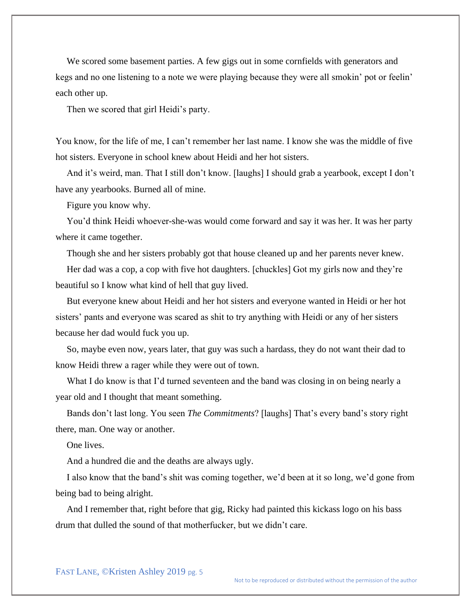We scored some basement parties. A few gigs out in some cornfields with generators and kegs and no one listening to a note we were playing because they were all smokin' pot or feelin' each other up.

Then we scored that girl Heidi's party.

You know, for the life of me, I can't remember her last name. I know she was the middle of five hot sisters. Everyone in school knew about Heidi and her hot sisters.

And it's weird, man. That I still don't know. [laughs] I should grab a yearbook, except I don't have any yearbooks. Burned all of mine.

Figure you know why.

You'd think Heidi whoever-she-was would come forward and say it was her. It was her party where it came together.

Though she and her sisters probably got that house cleaned up and her parents never knew.

Her dad was a cop, a cop with five hot daughters. [chuckles] Got my girls now and they're beautiful so I know what kind of hell that guy lived.

But everyone knew about Heidi and her hot sisters and everyone wanted in Heidi or her hot sisters' pants and everyone was scared as shit to try anything with Heidi or any of her sisters because her dad would fuck you up.

So, maybe even now, years later, that guy was such a hardass, they do not want their dad to know Heidi threw a rager while they were out of town.

What I do know is that I'd turned seventeen and the band was closing in on being nearly a year old and I thought that meant something.

Bands don't last long. You seen *The Commitments*? [laughs] That's every band's story right there, man. One way or another.

One lives.

And a hundred die and the deaths are always ugly.

I also know that the band's shit was coming together, we'd been at it so long, we'd gone from being bad to being alright.

And I remember that, right before that gig, Ricky had painted this kickass logo on his bass drum that dulled the sound of that motherfucker, but we didn't care.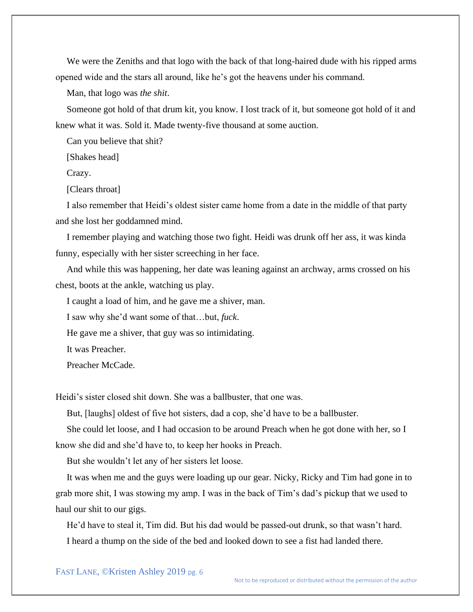We were the Zeniths and that logo with the back of that long-haired dude with his ripped arms opened wide and the stars all around, like he's got the heavens under his command.

Man, that logo was *the shit*.

Someone got hold of that drum kit, you know. I lost track of it, but someone got hold of it and knew what it was. Sold it. Made twenty-five thousand at some auction.

Can you believe that shit?

[Shakes head]

Crazy.

[Clears throat]

I also remember that Heidi's oldest sister came home from a date in the middle of that party and she lost her goddamned mind.

I remember playing and watching those two fight. Heidi was drunk off her ass, it was kinda funny, especially with her sister screeching in her face.

And while this was happening, her date was leaning against an archway, arms crossed on his chest, boots at the ankle, watching us play.

I caught a load of him, and he gave me a shiver, man.

I saw why she'd want some of that…but, *fuck*.

He gave me a shiver, that guy was so intimidating.

It was Preacher.

Preacher McCade.

Heidi's sister closed shit down. She was a ballbuster, that one was.

But, [laughs] oldest of five hot sisters, dad a cop, she'd have to be a ballbuster.

She could let loose, and I had occasion to be around Preach when he got done with her, so I know she did and she'd have to, to keep her hooks in Preach.

But she wouldn't let any of her sisters let loose.

It was when me and the guys were loading up our gear. Nicky, Ricky and Tim had gone in to grab more shit, I was stowing my amp. I was in the back of Tim's dad's pickup that we used to haul our shit to our gigs.

He'd have to steal it, Tim did. But his dad would be passed-out drunk, so that wasn't hard. I heard a thump on the side of the bed and looked down to see a fist had landed there.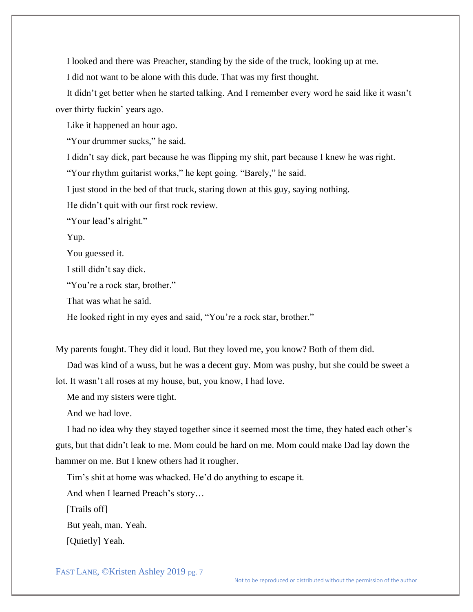I looked and there was Preacher, standing by the side of the truck, looking up at me.

I did not want to be alone with this dude. That was my first thought.

It didn't get better when he started talking. And I remember every word he said like it wasn't over thirty fuckin' years ago.

Like it happened an hour ago.

"Your drummer sucks," he said.

I didn't say dick, part because he was flipping my shit, part because I knew he was right.

"Your rhythm guitarist works," he kept going. "Barely," he said.

I just stood in the bed of that truck, staring down at this guy, saying nothing.

He didn't quit with our first rock review.

"Your lead's alright."

Yup.

You guessed it.

I still didn't say dick.

"You're a rock star, brother."

That was what he said.

He looked right in my eyes and said, "You're a rock star, brother."

My parents fought. They did it loud. But they loved me, you know? Both of them did.

Dad was kind of a wuss, but he was a decent guy. Mom was pushy, but she could be sweet a lot. It wasn't all roses at my house, but, you know, I had love.

Me and my sisters were tight.

And we had love.

I had no idea why they stayed together since it seemed most the time, they hated each other's guts, but that didn't leak to me. Mom could be hard on me. Mom could make Dad lay down the hammer on me. But I knew others had it rougher.

Tim's shit at home was whacked. He'd do anything to escape it.

And when I learned Preach's story…

[Trails off]

But yeah, man. Yeah.

[Quietly] Yeah.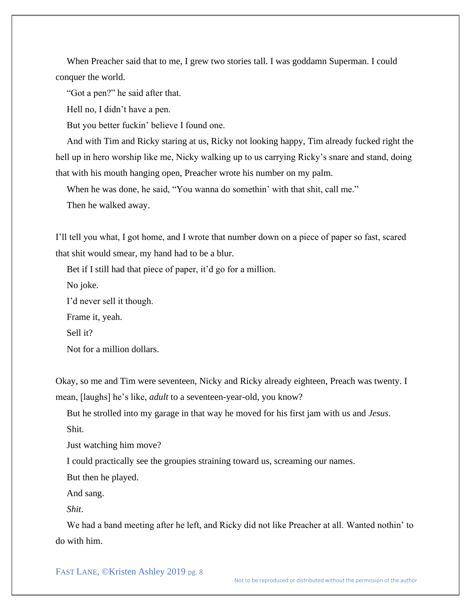When Preacher said that to me, I grew two stories tall. I was goddamn Superman. I could conquer the world.

"Got a pen?" he said after that.

Hell no, I didn't have a pen.

But you better fuckin' believe I found one.

And with Tim and Ricky staring at us, Ricky not looking happy, Tim already fucked right the hell up in hero worship like me, Nicky walking up to us carrying Ricky's snare and stand, doing that with his mouth hanging open, Preacher wrote his number on my palm.

When he was done, he said, "You wanna do somethin' with that shit, call me."

Then he walked away.

I'll tell you what, I got home, and I wrote that number down on a piece of paper so fast, scared that shit would smear, my hand had to be a blur.

Bet if I still had that piece of paper, it'd go for a million.

No joke.

I'd never sell it though.

Frame it, yeah.

Sell it?

Not for a million dollars.

Okay, so me and Tim were seventeen, Nicky and Ricky already eighteen, Preach was twenty. I mean, [laughs] he's like, *adult* to a seventeen-year-old, you know?

But he strolled into my garage in that way he moved for his first jam with us and *Jesus*.

Shit.

Just watching him move?

I could practically see the groupies straining toward us, screaming our names.

But then he played.

And sang.

*Shit*.

We had a band meeting after he left, and Ricky did not like Preacher at all. Wanted nothin' to do with him.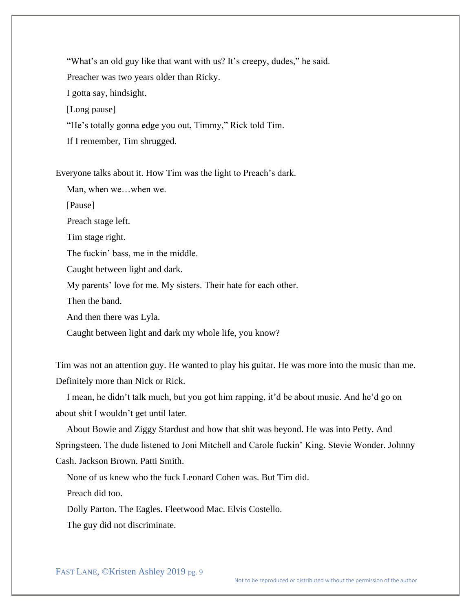"What's an old guy like that want with us? It's creepy, dudes," he said. Preacher was two years older than Ricky. I gotta say, hindsight. [Long pause] "He's totally gonna edge you out, Timmy," Rick told Tim. If I remember, Tim shrugged.

Everyone talks about it. How Tim was the light to Preach's dark.

Man, when we…when we.

[Pause]

Preach stage left.

Tim stage right.

The fuckin' bass, me in the middle.

Caught between light and dark.

My parents' love for me. My sisters. Their hate for each other.

Then the band.

And then there was Lyla.

Caught between light and dark my whole life, you know?

Tim was not an attention guy. He wanted to play his guitar. He was more into the music than me. Definitely more than Nick or Rick.

I mean, he didn't talk much, but you got him rapping, it'd be about music. And he'd go on about shit I wouldn't get until later.

About Bowie and Ziggy Stardust and how that shit was beyond. He was into Petty. And Springsteen. The dude listened to Joni Mitchell and Carole fuckin' King. Stevie Wonder. Johnny Cash. Jackson Brown. Patti Smith.

None of us knew who the fuck Leonard Cohen was. But Tim did.

Preach did too.

Dolly Parton. The Eagles. Fleetwood Mac. Elvis Costello.

The guy did not discriminate.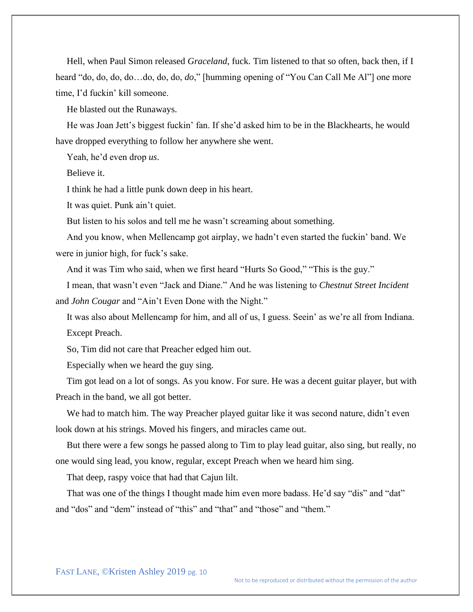Hell, when Paul Simon released *Graceland*, fuck. Tim listened to that so often, back then, if I heard "do, do, do, do…do, do, do, *do*," [humming opening of "You Can Call Me Al"] one more time, I'd fuckin' kill someone.

He blasted out the Runaways.

He was Joan Jett's biggest fuckin' fan. If she'd asked him to be in the Blackhearts, he would have dropped everything to follow her anywhere she went.

Yeah, he'd even drop *us*.

Believe it.

I think he had a little punk down deep in his heart.

It was quiet. Punk ain't quiet.

But listen to his solos and tell me he wasn't screaming about something.

And you know, when Mellencamp got airplay, we hadn't even started the fuckin' band. We were in junior high, for fuck's sake.

And it was Tim who said, when we first heard "Hurts So Good," "This is the guy."

I mean, that wasn't even "Jack and Diane." And he was listening to *Chestnut Street Incident* and *John Cougar* and "Ain't Even Done with the Night."

It was also about Mellencamp for him, and all of us, I guess. Seein' as we're all from Indiana. Except Preach.

So, Tim did not care that Preacher edged him out.

Especially when we heard the guy sing.

Tim got lead on a lot of songs. As you know. For sure. He was a decent guitar player, but with Preach in the band, we all got better.

We had to match him. The way Preacher played guitar like it was second nature, didn't even look down at his strings. Moved his fingers, and miracles came out.

But there were a few songs he passed along to Tim to play lead guitar, also sing, but really, no one would sing lead, you know, regular, except Preach when we heard him sing.

That deep, raspy voice that had that Cajun lilt.

That was one of the things I thought made him even more badass. He'd say "dis" and "dat" and "dos" and "dem" instead of "this" and "that" and "those" and "them."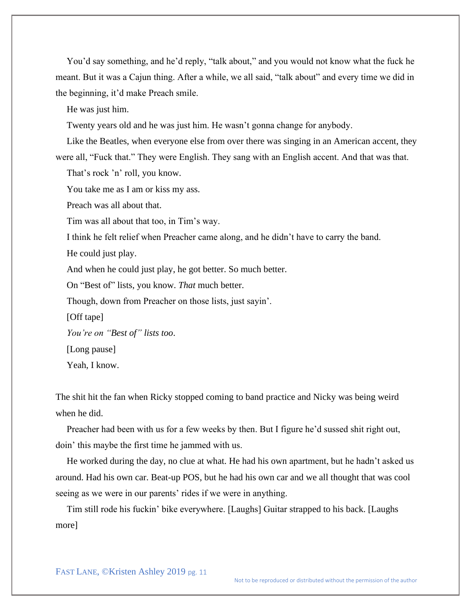You'd say something, and he'd reply, "talk about," and you would not know what the fuck he meant. But it was a Cajun thing. After a while, we all said, "talk about" and every time we did in the beginning, it'd make Preach smile.

He was just him.

Twenty years old and he was just him. He wasn't gonna change for anybody.

Like the Beatles, when everyone else from over there was singing in an American accent, they were all, "Fuck that." They were English. They sang with an English accent. And that was that.

That's rock 'n' roll, you know.

You take me as I am or kiss my ass.

Preach was all about that.

Tim was all about that too, in Tim's way.

I think he felt relief when Preacher came along, and he didn't have to carry the band.

He could just play.

And when he could just play, he got better. So much better.

On "Best of" lists, you know. *That* much better.

Though, down from Preacher on those lists, just sayin'.

[Off tape]

*You're on "Best of" lists too*.

[Long pause]

Yeah, I know.

The shit hit the fan when Ricky stopped coming to band practice and Nicky was being weird when he did.

Preacher had been with us for a few weeks by then. But I figure he'd sussed shit right out, doin' this maybe the first time he jammed with us.

He worked during the day, no clue at what. He had his own apartment, but he hadn't asked us around. Had his own car. Beat-up POS, but he had his own car and we all thought that was cool seeing as we were in our parents' rides if we were in anything.

Tim still rode his fuckin' bike everywhere. [Laughs] Guitar strapped to his back. [Laughs more]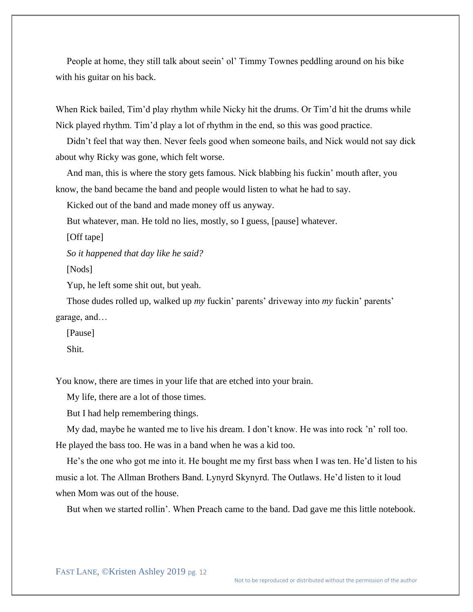People at home, they still talk about seein' ol' Timmy Townes peddling around on his bike with his guitar on his back.

When Rick bailed, Tim'd play rhythm while Nicky hit the drums. Or Tim'd hit the drums while Nick played rhythm. Tim'd play a lot of rhythm in the end, so this was good practice.

Didn't feel that way then. Never feels good when someone bails, and Nick would not say dick about why Ricky was gone, which felt worse.

And man, this is where the story gets famous. Nick blabbing his fuckin' mouth after, you know, the band became the band and people would listen to what he had to say.

Kicked out of the band and made money off us anyway.

But whatever, man. He told no lies, mostly, so I guess, [pause] whatever.

[Off tape]

*So it happened that day like he said?*

[Nods]

Yup, he left some shit out, but yeah.

Those dudes rolled up, walked up *my* fuckin' parents' driveway into *my* fuckin' parents' garage, and…

[Pause]

Shit.

You know, there are times in your life that are etched into your brain.

My life, there are a lot of those times.

But I had help remembering things.

My dad, maybe he wanted me to live his dream. I don't know. He was into rock 'n' roll too. He played the bass too. He was in a band when he was a kid too.

He's the one who got me into it. He bought me my first bass when I was ten. He'd listen to his music a lot. The Allman Brothers Band. Lynyrd Skynyrd. The Outlaws. He'd listen to it loud when Mom was out of the house.

But when we started rollin'. When Preach came to the band. Dad gave me this little notebook.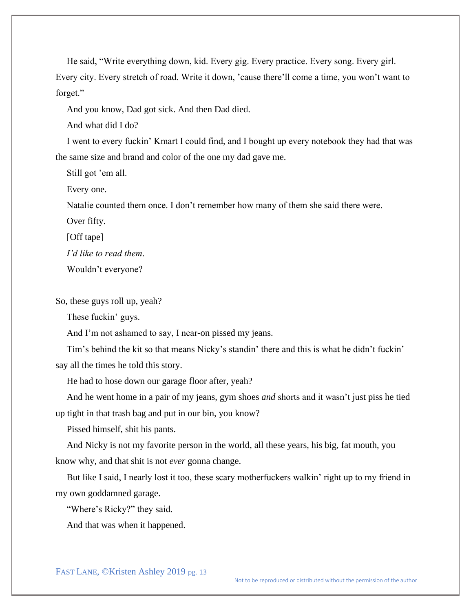He said, "Write everything down, kid. Every gig. Every practice. Every song. Every girl. Every city. Every stretch of road. Write it down, 'cause there'll come a time, you won't want to forget."

And you know, Dad got sick. And then Dad died.

And what did I do?

I went to every fuckin' Kmart I could find, and I bought up every notebook they had that was the same size and brand and color of the one my dad gave me.

Still got 'em all.

Every one.

Natalie counted them once. I don't remember how many of them she said there were.

Over fifty.

[Off tape]

*I'd like to read them*.

Wouldn't everyone?

So, these guys roll up, yeah?

These fuckin' guys.

And I'm not ashamed to say, I near-on pissed my jeans.

Tim's behind the kit so that means Nicky's standin' there and this is what he didn't fuckin' say all the times he told this story.

He had to hose down our garage floor after, yeah?

And he went home in a pair of my jeans, gym shoes *and* shorts and it wasn't just piss he tied up tight in that trash bag and put in our bin, you know?

Pissed himself, shit his pants.

And Nicky is not my favorite person in the world, all these years, his big, fat mouth, you know why, and that shit is not *ever* gonna change.

But like I said, I nearly lost it too, these scary motherfuckers walkin' right up to my friend in my own goddamned garage.

"Where's Ricky?" they said.

And that was when it happened.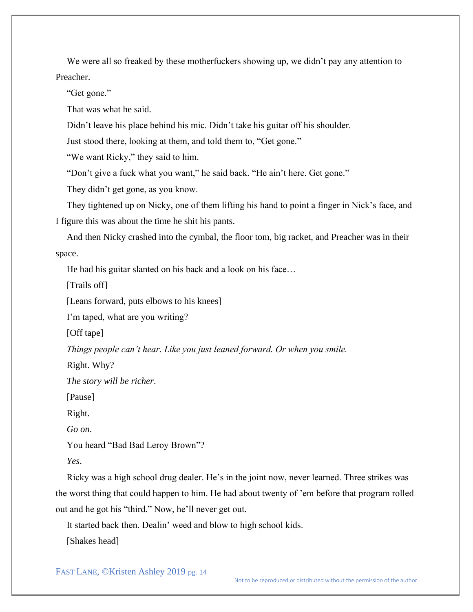We were all so freaked by these motherfuckers showing up, we didn't pay any attention to Preacher.

"Get gone."

That was what he said.

Didn't leave his place behind his mic. Didn't take his guitar off his shoulder.

Just stood there, looking at them, and told them to, "Get gone."

"We want Ricky," they said to him.

"Don't give a fuck what you want," he said back. "He ain't here. Get gone."

They didn't get gone, as you know.

They tightened up on Nicky, one of them lifting his hand to point a finger in Nick's face, and I figure this was about the time he shit his pants.

And then Nicky crashed into the cymbal, the floor tom, big racket, and Preacher was in their space.

He had his guitar slanted on his back and a look on his face…

[Trails off]

[Leans forward, puts elbows to his knees]

I'm taped, what are you writing?

[Off tape]

*Things people can't hear. Like you just leaned forward. Or when you smile.*

Right. Why?

*The story will be richer*.

[Pause]

Right.

*Go on*.

You heard "Bad Bad Leroy Brown"?

*Yes*.

Ricky was a high school drug dealer. He's in the joint now, never learned. Three strikes was the worst thing that could happen to him. He had about twenty of 'em before that program rolled out and he got his "third." Now, he'll never get out.

It started back then. Dealin' weed and blow to high school kids.

[Shakes head]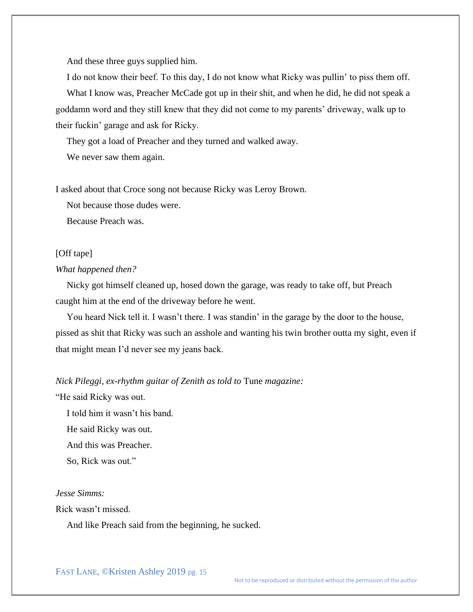And these three guys supplied him.

I do not know their beef. To this day, I do not know what Ricky was pullin' to piss them off. What I know was, Preacher McCade got up in their shit, and when he did, he did not speak a goddamn word and they still knew that they did not come to my parents' driveway, walk up to their fuckin' garage and ask for Ricky.

They got a load of Preacher and they turned and walked away.

We never saw them again.

I asked about that Croce song not because Ricky was Leroy Brown.

Not because those dudes were.

Because Preach was.

#### [Off tape]

## *What happened then?*

Nicky got himself cleaned up, hosed down the garage, was ready to take off, but Preach caught him at the end of the driveway before he went.

You heard Nick tell it. I wasn't there. I was standin' in the garage by the door to the house, pissed as shit that Ricky was such an asshole and wanting his twin brother outta my sight, even if that might mean I'd never see my jeans back.

#### *Nick Pileggi, ex-rhythm guitar of Zenith as told to* Tune *magazine:*

"He said Ricky was out.

I told him it wasn't his band.

He said Ricky was out.

And this was Preacher.

So, Rick was out."

### *Jesse Simms:*

Rick wasn't missed.

And like Preach said from the beginning, he sucked.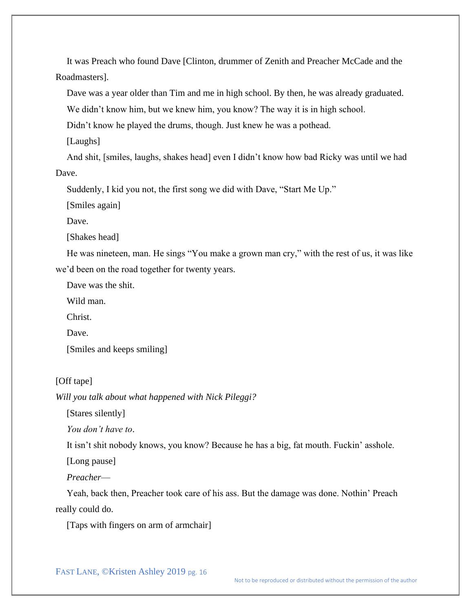It was Preach who found Dave [Clinton, drummer of Zenith and Preacher McCade and the Roadmasters].

Dave was a year older than Tim and me in high school. By then, he was already graduated.

We didn't know him, but we knew him, you know? The way it is in high school.

Didn't know he played the drums, though. Just knew he was a pothead.

[Laughs]

And shit, [smiles, laughs, shakes head] even I didn't know how bad Ricky was until we had Dave.

Suddenly, I kid you not, the first song we did with Dave, "Start Me Up."

[Smiles again]

Dave.

[Shakes head]

He was nineteen, man. He sings "You make a grown man cry," with the rest of us, it was like we'd been on the road together for twenty years.

Dave was the shit.

Wild man.

Christ.

Dave.

[Smiles and keeps smiling]

#### [Off tape]

*Will you talk about what happened with Nick Pileggi?*

[Stares silently]

*You don't have to*.

It isn't shit nobody knows, you know? Because he has a big, fat mouth. Fuckin' asshole.

[Long pause]

*Preacher*—

Yeah, back then, Preacher took care of his ass. But the damage was done. Nothin' Preach really could do.

[Taps with fingers on arm of armchair]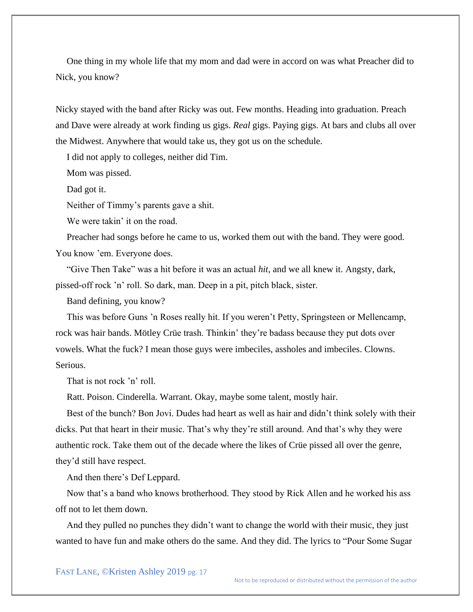One thing in my whole life that my mom and dad were in accord on was what Preacher did to Nick, you know?

Nicky stayed with the band after Ricky was out. Few months. Heading into graduation. Preach and Dave were already at work finding us gigs. *Real* gigs. Paying gigs. At bars and clubs all over the Midwest. Anywhere that would take us, they got us on the schedule.

I did not apply to colleges, neither did Tim.

Mom was pissed.

Dad got it.

Neither of Timmy's parents gave a shit.

We were takin' it on the road.

Preacher had songs before he came to us, worked them out with the band. They were good. You know 'em. Everyone does.

"Give Then Take" was a hit before it was an actual *hit*, and we all knew it. Angsty, dark, pissed-off rock 'n' roll. So dark, man. Deep in a pit, pitch black, sister.

Band defining, you know?

This was before Guns 'n Roses really hit. If you weren't Petty, Springsteen or Mellencamp, rock was hair bands. Mötley Crüe trash. Thinkin' they're badass because they put dots over vowels. What the fuck? I mean those guys were imbeciles, assholes and imbeciles. Clowns. Serious.

That is not rock 'n' roll.

Ratt. Poison. Cinderella. Warrant. Okay, maybe some talent, mostly hair.

Best of the bunch? Bon Jovi. Dudes had heart as well as hair and didn't think solely with their dicks. Put that heart in their music. That's why they're still around. And that's why they were authentic rock. Take them out of the decade where the likes of Crüe pissed all over the genre, they'd still have respect.

And then there's Def Leppard.

Now that's a band who knows brotherhood. They stood by Rick Allen and he worked his ass off not to let them down.

And they pulled no punches they didn't want to change the world with their music, they just wanted to have fun and make others do the same. And they did. The lyrics to "Pour Some Sugar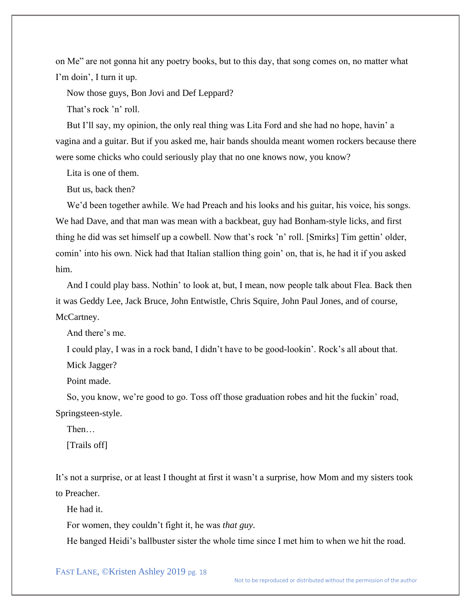on Me" are not gonna hit any poetry books, but to this day, that song comes on, no matter what I'm doin', I turn it up.

Now those guys, Bon Jovi and Def Leppard?

That's rock 'n' roll.

But I'll say, my opinion, the only real thing was Lita Ford and she had no hope, havin' a vagina and a guitar. But if you asked me, hair bands shoulda meant women rockers because there were some chicks who could seriously play that no one knows now, you know?

Lita is one of them.

But us, back then?

We'd been together awhile. We had Preach and his looks and his guitar, his voice, his songs. We had Dave, and that man was mean with a backbeat, guy had Bonham-style licks, and first thing he did was set himself up a cowbell. Now that's rock 'n' roll. [Smirks] Tim gettin' older, comin' into his own. Nick had that Italian stallion thing goin' on, that is, he had it if you asked him.

And I could play bass. Nothin' to look at, but, I mean, now people talk about Flea. Back then it was Geddy Lee, Jack Bruce, John Entwistle, Chris Squire, John Paul Jones, and of course, McCartney.

And there's me.

I could play, I was in a rock band, I didn't have to be good-lookin'. Rock's all about that.

Mick Jagger?

Point made.

So, you know, we're good to go. Toss off those graduation robes and hit the fuckin' road, Springsteen-style.

Then…

[Trails off]

It's not a surprise, or at least I thought at first it wasn't a surprise, how Mom and my sisters took to Preacher.

He had it.

For women, they couldn't fight it, he was *that guy*.

He banged Heidi's ballbuster sister the whole time since I met him to when we hit the road.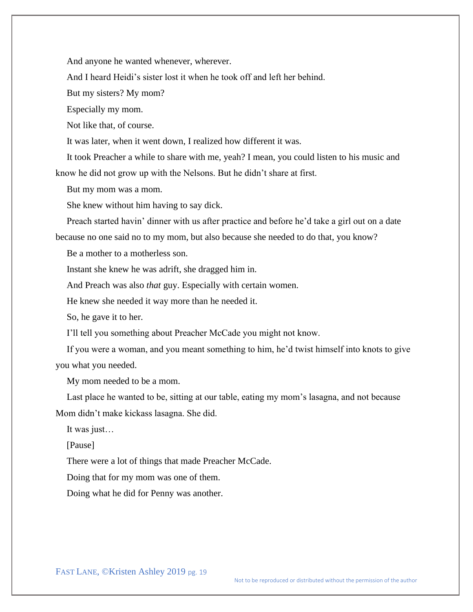And anyone he wanted whenever, wherever.

And I heard Heidi's sister lost it when he took off and left her behind.

But my sisters? My mom?

Especially my mom.

Not like that, of course.

It was later, when it went down, I realized how different it was.

It took Preacher a while to share with me, yeah? I mean, you could listen to his music and know he did not grow up with the Nelsons. But he didn't share at first.

But my mom was a mom.

She knew without him having to say dick.

Preach started havin' dinner with us after practice and before he'd take a girl out on a date because no one said no to my mom, but also because she needed to do that, you know?

Be a mother to a motherless son.

Instant she knew he was adrift, she dragged him in.

And Preach was also *that* guy. Especially with certain women.

He knew she needed it way more than he needed it.

So, he gave it to her.

I'll tell you something about Preacher McCade you might not know.

If you were a woman, and you meant something to him, he'd twist himself into knots to give you what you needed.

My mom needed to be a mom.

Last place he wanted to be, sitting at our table, eating my mom's lasagna, and not because Mom didn't make kickass lasagna. She did.

It was just…

[Pause]

There were a lot of things that made Preacher McCade.

Doing that for my mom was one of them.

Doing what he did for Penny was another.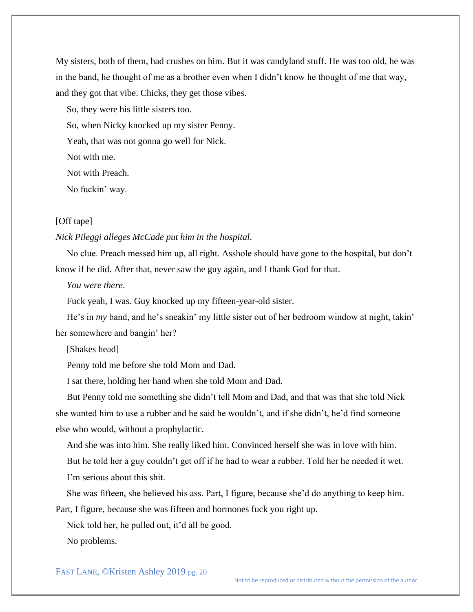My sisters, both of them, had crushes on him. But it was candyland stuff. He was too old, he was in the band, he thought of me as a brother even when I didn't know he thought of me that way, and they got that vibe. Chicks, they get those vibes.

So, they were his little sisters too.

So, when Nicky knocked up my sister Penny.

Yeah, that was not gonna go well for Nick.

Not with me.

Not with Preach.

No fuckin' way.

## [Off tape]

#### *Nick Pileggi alleges McCade put him in the hospital*.

No clue. Preach messed him up, all right. Asshole should have gone to the hospital, but don't know if he did. After that, never saw the guy again, and I thank God for that.

*You were there*.

Fuck yeah, I was. Guy knocked up my fifteen-year-old sister.

He's in *my* band, and he's sneakin' my little sister out of her bedroom window at night, takin' her somewhere and bangin' her?

[Shakes head]

Penny told me before she told Mom and Dad.

I sat there, holding her hand when she told Mom and Dad.

But Penny told me something she didn't tell Mom and Dad, and that was that she told Nick she wanted him to use a rubber and he said he wouldn't, and if she didn't, he'd find someone else who would, without a prophylactic.

And she was into him. She really liked him. Convinced herself she was in love with him.

But he told her a guy couldn't get off if he had to wear a rubber. Told her he needed it wet. I'm serious about this shit.

She was fifteen, she believed his ass. Part, I figure, because she'd do anything to keep him.

Part, I figure, because she was fifteen and hormones fuck you right up.

Nick told her, he pulled out, it'd all be good.

No problems.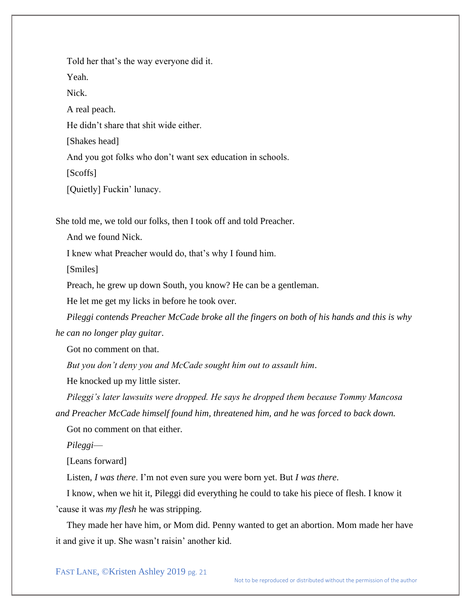Told her that's the way everyone did it.

Yeah.

Nick.

A real peach.

He didn't share that shit wide either.

[Shakes head]

And you got folks who don't want sex education in schools.

[Scoffs]

[Quietly] Fuckin' lunacy.

She told me, we told our folks, then I took off and told Preacher.

And we found Nick.

I knew what Preacher would do, that's why I found him.

[Smiles]

Preach, he grew up down South, you know? He can be a gentleman.

He let me get my licks in before he took over.

*Pileggi contends Preacher McCade broke all the fingers on both of his hands and this is why he can no longer play guitar*.

Got no comment on that.

*But you don't deny you and McCade sought him out to assault him*.

He knocked up my little sister.

*Pileggi's later lawsuits were dropped. He says he dropped them because Tommy Mancosa and Preacher McCade himself found him, threatened him, and he was forced to back down.*

Got no comment on that either.

*Pileggi*—

[Leans forward]

Listen, *I was there*. I'm not even sure you were born yet. But *I was there*.

I know, when we hit it, Pileggi did everything he could to take his piece of flesh. I know it 'cause it was *my flesh* he was stripping.

They made her have him, or Mom did. Penny wanted to get an abortion. Mom made her have it and give it up. She wasn't raisin' another kid.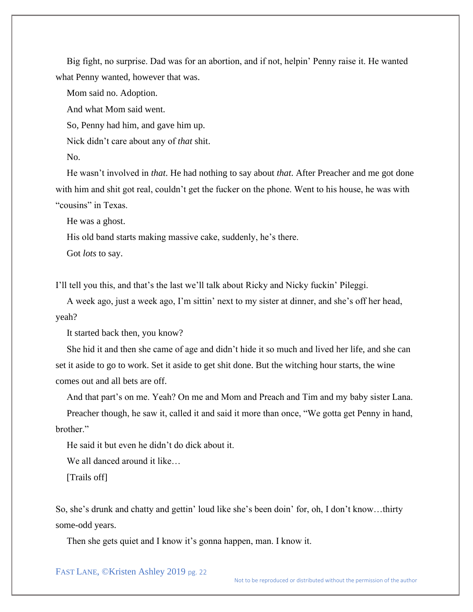Big fight, no surprise. Dad was for an abortion, and if not, helpin' Penny raise it. He wanted what Penny wanted, however that was.

Mom said no. Adoption.

And what Mom said went.

So, Penny had him, and gave him up.

Nick didn't care about any of *that* shit.

No.

He wasn't involved in *that*. He had nothing to say about *that*. After Preacher and me got done with him and shit got real, couldn't get the fucker on the phone. Went to his house, he was with "cousins" in Texas.

He was a ghost.

His old band starts making massive cake, suddenly, he's there.

Got *lots* to say.

I'll tell you this, and that's the last we'll talk about Ricky and Nicky fuckin' Pileggi.

A week ago, just a week ago, I'm sittin' next to my sister at dinner, and she's off her head, yeah?

It started back then, you know?

She hid it and then she came of age and didn't hide it so much and lived her life, and she can set it aside to go to work. Set it aside to get shit done. But the witching hour starts, the wine comes out and all bets are off.

And that part's on me. Yeah? On me and Mom and Preach and Tim and my baby sister Lana.

Preacher though, he saw it, called it and said it more than once, "We gotta get Penny in hand, brother."

He said it but even he didn't do dick about it.

We all danced around it like...

[Trails off]

So, she's drunk and chatty and gettin' loud like she's been doin' for, oh, I don't know…thirty some-odd years.

Then she gets quiet and I know it's gonna happen, man. I know it.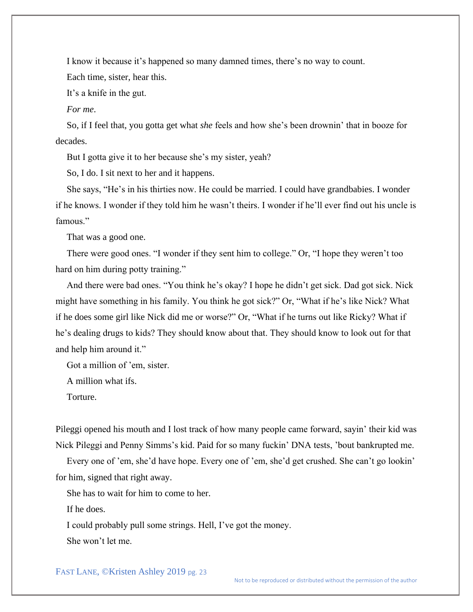I know it because it's happened so many damned times, there's no way to count. Each time, sister, hear this.

It's a knife in the gut.

*For me*.

So, if I feel that, you gotta get what *she* feels and how she's been drownin' that in booze for decades.

But I gotta give it to her because she's my sister, yeah?

So, I do. I sit next to her and it happens.

She says, "He's in his thirties now. He could be married. I could have grandbabies. I wonder if he knows. I wonder if they told him he wasn't theirs. I wonder if he'll ever find out his uncle is famous."

That was a good one.

There were good ones. "I wonder if they sent him to college." Or, "I hope they weren't too hard on him during potty training."

And there were bad ones. "You think he's okay? I hope he didn't get sick. Dad got sick. Nick might have something in his family. You think he got sick?" Or, "What if he's like Nick? What if he does some girl like Nick did me or worse?" Or, "What if he turns out like Ricky? What if he's dealing drugs to kids? They should know about that. They should know to look out for that and help him around it."

Got a million of 'em, sister.

A million what ifs.

Torture.

Pileggi opened his mouth and I lost track of how many people came forward, sayin' their kid was Nick Pileggi and Penny Simms's kid. Paid for so many fuckin' DNA tests, 'bout bankrupted me.

Every one of 'em, she'd have hope. Every one of 'em, she'd get crushed. She can't go lookin' for him, signed that right away.

She has to wait for him to come to her.

If he does.

I could probably pull some strings. Hell, I've got the money.

She won't let me.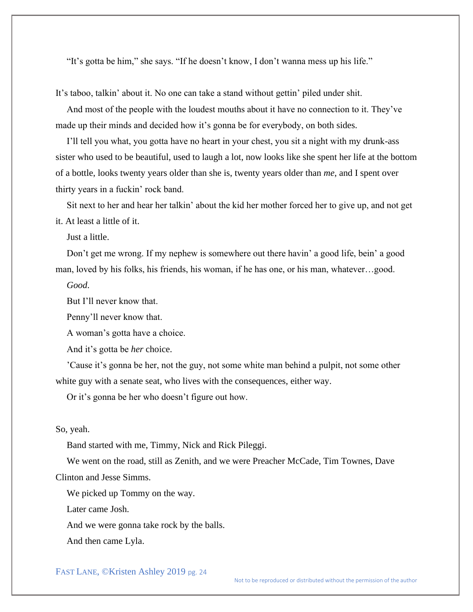"It's gotta be him," she says. "If he doesn't know, I don't wanna mess up his life."

It's taboo, talkin' about it. No one can take a stand without gettin' piled under shit.

And most of the people with the loudest mouths about it have no connection to it. They've made up their minds and decided how it's gonna be for everybody, on both sides.

I'll tell you what, you gotta have no heart in your chest, you sit a night with my drunk-ass sister who used to be beautiful, used to laugh a lot, now looks like she spent her life at the bottom of a bottle, looks twenty years older than she is, twenty years older than *me*, and I spent over thirty years in a fuckin' rock band.

Sit next to her and hear her talkin' about the kid her mother forced her to give up, and not get it. At least a little of it.

Just a little.

Don't get me wrong. If my nephew is somewhere out there havin' a good life, bein' a good man, loved by his folks, his friends, his woman, if he has one, or his man, whatever…good.

*Good*.

But I'll never know that.

Penny'll never know that.

A woman's gotta have a choice.

And it's gotta be *her* choice.

'Cause it's gonna be her, not the guy, not some white man behind a pulpit, not some other white guy with a senate seat, who lives with the consequences, either way.

Or it's gonna be her who doesn't figure out how.

#### So, yeah.

Band started with me, Timmy, Nick and Rick Pileggi.

We went on the road, still as Zenith, and we were Preacher McCade, Tim Townes, Dave Clinton and Jesse Simms.

We picked up Tommy on the way.

Later came Josh.

And we were gonna take rock by the balls.

And then came Lyla.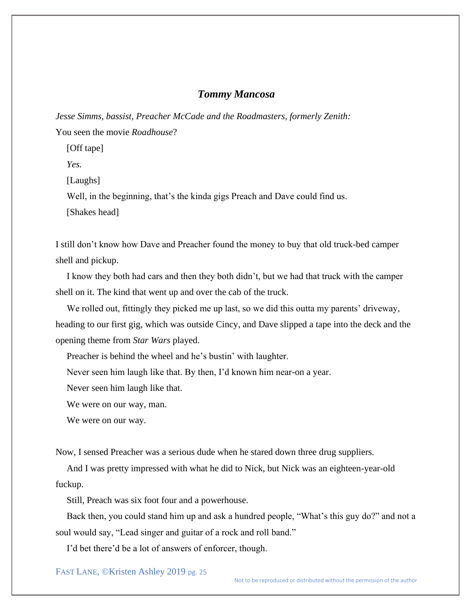## *Tommy Mancosa*

*Jesse Simms, bassist, Preacher McCade and the Roadmasters, formerly Zenith:* You seen the movie *Roadhouse*?

[Off tape]

*Yes.*

[Laughs]

Well, in the beginning, that's the kinda gigs Preach and Dave could find us.

[Shakes head]

I still don't know how Dave and Preacher found the money to buy that old truck-bed camper shell and pickup.

I know they both had cars and then they both didn't, but we had that truck with the camper shell on it. The kind that went up and over the cab of the truck.

We rolled out, fittingly they picked me up last, so we did this outta my parents' driveway, heading to our first gig, which was outside Cincy, and Dave slipped a tape into the deck and the opening theme from *Star Wars* played.

Preacher is behind the wheel and he's bustin' with laughter.

Never seen him laugh like that. By then, I'd known him near-on a year.

Never seen him laugh like that.

We were on our way, man.

We were on our way.

Now, I sensed Preacher was a serious dude when he stared down three drug suppliers.

And I was pretty impressed with what he did to Nick, but Nick was an eighteen-year-old fuckup.

Still, Preach was six foot four and a powerhouse.

Back then, you could stand him up and ask a hundred people, "What's this guy do?" and not a soul would say, "Lead singer and guitar of a rock and roll band."

I'd bet there'd be a lot of answers of enforcer, though.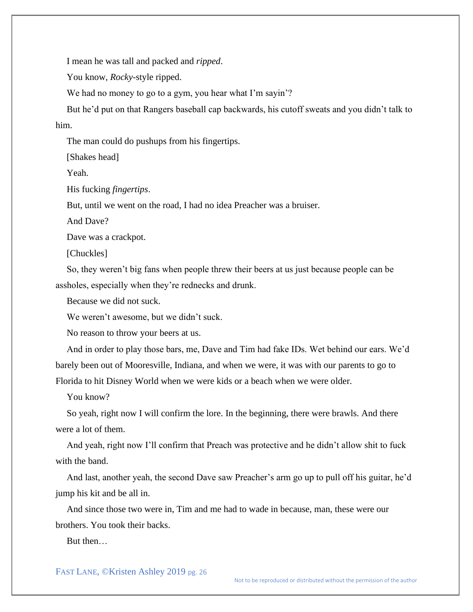I mean he was tall and packed and *ripped*.

You know, *Rocky*-style ripped.

We had no money to go to a gym, you hear what I'm sayin'?

But he'd put on that Rangers baseball cap backwards, his cutoff sweats and you didn't talk to him.

The man could do pushups from his fingertips.

[Shakes head]

Yeah.

His fucking *fingertips*.

But, until we went on the road, I had no idea Preacher was a bruiser.

And Dave?

Dave was a crackpot.

[Chuckles]

So, they weren't big fans when people threw their beers at us just because people can be assholes, especially when they're rednecks and drunk.

Because we did not suck.

We weren't awesome, but we didn't suck.

No reason to throw your beers at us.

And in order to play those bars, me, Dave and Tim had fake IDs. Wet behind our ears. We'd barely been out of Mooresville, Indiana, and when we were, it was with our parents to go to Florida to hit Disney World when we were kids or a beach when we were older.

You know?

So yeah, right now I will confirm the lore. In the beginning, there were brawls. And there were a lot of them.

And yeah, right now I'll confirm that Preach was protective and he didn't allow shit to fuck with the band.

And last, another yeah, the second Dave saw Preacher's arm go up to pull off his guitar, he'd jump his kit and be all in.

And since those two were in, Tim and me had to wade in because, man, these were our brothers. You took their backs.

But then…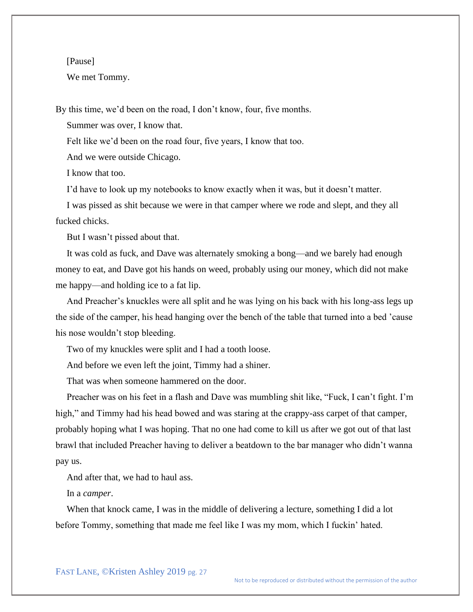#### [Pause]

We met Tommy.

By this time, we'd been on the road, I don't know, four, five months.

Summer was over, I know that.

Felt like we'd been on the road four, five years, I know that too.

And we were outside Chicago.

I know that too.

I'd have to look up my notebooks to know exactly when it was, but it doesn't matter.

I was pissed as shit because we were in that camper where we rode and slept, and they all fucked chicks.

But I wasn't pissed about that.

It was cold as fuck, and Dave was alternately smoking a bong—and we barely had enough money to eat, and Dave got his hands on weed, probably using our money, which did not make me happy—and holding ice to a fat lip.

And Preacher's knuckles were all split and he was lying on his back with his long-ass legs up the side of the camper, his head hanging over the bench of the table that turned into a bed 'cause his nose wouldn't stop bleeding.

Two of my knuckles were split and I had a tooth loose.

And before we even left the joint, Timmy had a shiner.

That was when someone hammered on the door.

Preacher was on his feet in a flash and Dave was mumbling shit like, "Fuck, I can't fight. I'm high," and Timmy had his head bowed and was staring at the crappy-ass carpet of that camper, probably hoping what I was hoping. That no one had come to kill us after we got out of that last brawl that included Preacher having to deliver a beatdown to the bar manager who didn't wanna pay us.

And after that, we had to haul ass.

In a *camper*.

When that knock came, I was in the middle of delivering a lecture, something I did a lot before Tommy, something that made me feel like I was my mom, which I fuckin' hated.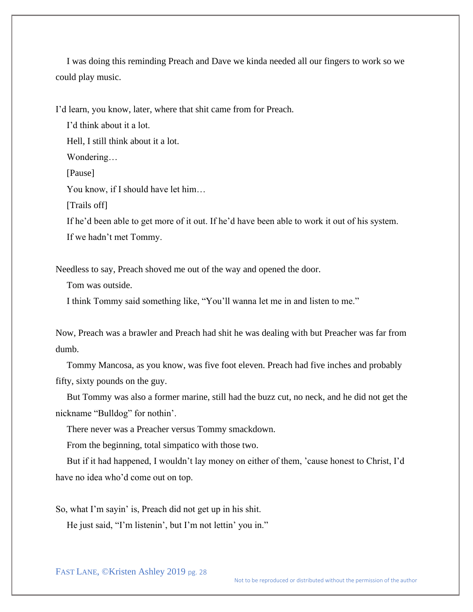I was doing this reminding Preach and Dave we kinda needed all our fingers to work so we could play music.

I'd learn, you know, later, where that shit came from for Preach.

I'd think about it a lot.

Hell, I still think about it a lot.

Wondering…

[Pause]

You know, if I should have let him…

[Trails off]

If he'd been able to get more of it out. If he'd have been able to work it out of his system. If we hadn't met Tommy.

Needless to say, Preach shoved me out of the way and opened the door.

Tom was outside.

I think Tommy said something like, "You'll wanna let me in and listen to me."

Now, Preach was a brawler and Preach had shit he was dealing with but Preacher was far from dumb.

Tommy Mancosa, as you know, was five foot eleven. Preach had five inches and probably fifty, sixty pounds on the guy.

But Tommy was also a former marine, still had the buzz cut, no neck, and he did not get the nickname "Bulldog" for nothin'.

There never was a Preacher versus Tommy smackdown.

From the beginning, total simpatico with those two.

But if it had happened, I wouldn't lay money on either of them, 'cause honest to Christ, I'd have no idea who'd come out on top.

So, what I'm sayin' is, Preach did not get up in his shit.

He just said, "I'm listenin', but I'm not lettin' you in."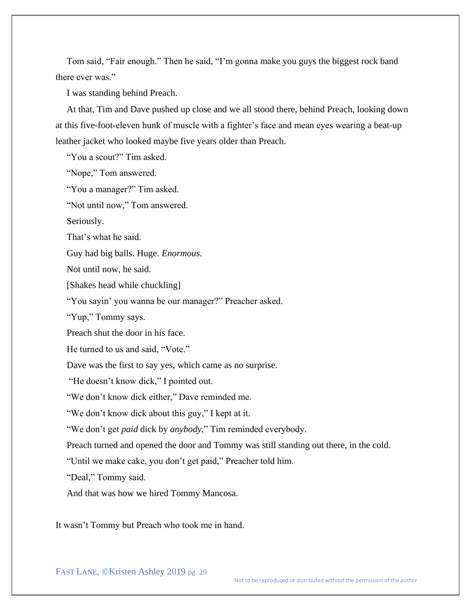Tom said, "Fair enough." Then he said, "I'm gonna make you guys the biggest rock band there ever was."

I was standing behind Preach.

At that, Tim and Dave pushed up close and we all stood there, behind Preach, looking down at this five-foot-eleven hunk of muscle with a fighter's face and mean eyes wearing a beat-up leather jacket who looked maybe five years older than Preach.

"You a scout?" Tim asked.

"Nope," Tom answered.

"You a manager?" Tim asked.

"Not until now," Tom answered.

Seriously.

That's what he said.

Guy had big balls. Huge. *Enormous*.

Not until now, he said.

[Shakes head while chuckling]

"You sayin' you wanna be our manager?" Preacher asked.

"Yup," Tommy says.

Preach shut the door in his face.

He turned to us and said, "Vote."

Dave was the first to say yes, which came as no surprise.

"He doesn't know dick," I pointed out.

"We don't know dick either," Dave reminded me.

"We don't know dick about this guy," I kept at it.

"We don't get *paid* dick by *anybody*," Tim reminded everybody.

Preach turned and opened the door and Tommy was still standing out there, in the cold.

"Until we make cake, you don't get paid," Preacher told him.

"Deal," Tommy said.

And that was how we hired Tommy Mancosa.

It wasn't Tommy but Preach who took me in hand.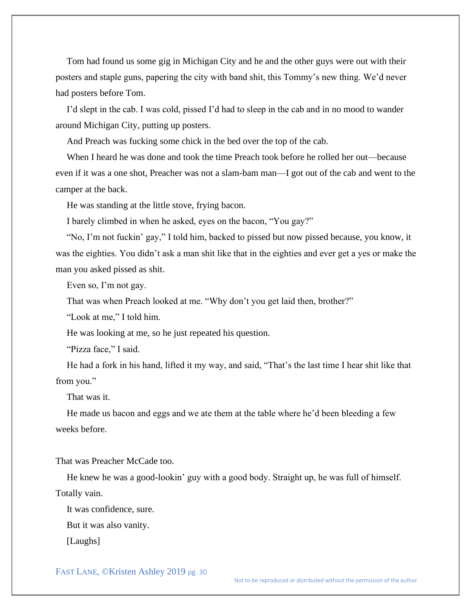Tom had found us some gig in Michigan City and he and the other guys were out with their posters and staple guns, papering the city with band shit, this Tommy's new thing. We'd never had posters before Tom.

I'd slept in the cab. I was cold, pissed I'd had to sleep in the cab and in no mood to wander around Michigan City, putting up posters.

And Preach was fucking some chick in the bed over the top of the cab.

When I heard he was done and took the time Preach took before he rolled her out—because even if it was a one shot, Preacher was not a slam-bam man—I got out of the cab and went to the camper at the back.

He was standing at the little stove, frying bacon.

I barely climbed in when he asked, eyes on the bacon, "You gay?"

"No, I'm not fuckin' gay," I told him, backed to pissed but now pissed because, you know, it was the eighties. You didn't ask a man shit like that in the eighties and ever get a yes or make the man you asked pissed as shit.

Even so, I'm not gay.

That was when Preach looked at me. "Why don't you get laid then, brother?"

"Look at me," I told him.

He was looking at me, so he just repeated his question.

"Pizza face," I said.

He had a fork in his hand, lifted it my way, and said, "That's the last time I hear shit like that from you."

That was it.

He made us bacon and eggs and we ate them at the table where he'd been bleeding a few weeks before.

That was Preacher McCade too.

He knew he was a good-lookin' guy with a good body. Straight up, he was full of himself. Totally vain.

It was confidence, sure.

But it was also vanity.

[Laughs]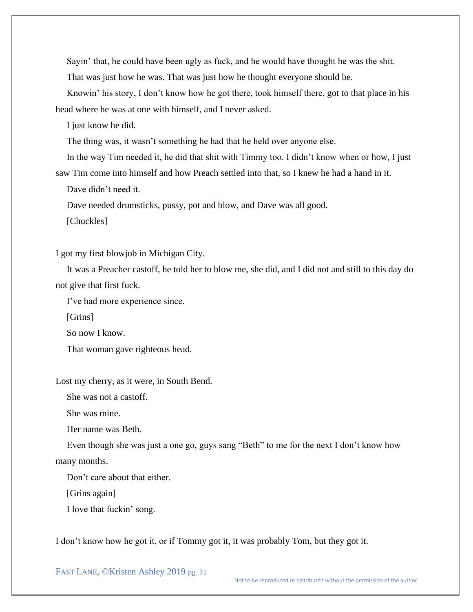Sayin' that, he could have been ugly as fuck, and he would have thought he was the shit. That was just how he was. That was just how he thought everyone should be.

Knowin' his story, I don't know how he got there, took himself there, got to that place in his head where he was at one with himself, and I never asked.

I just know he did.

The thing was, it wasn't something he had that he held over anyone else.

In the way Tim needed it, he did that shit with Timmy too. I didn't know when or how, I just saw Tim come into himself and how Preach settled into that, so I knew he had a hand in it.

Dave didn't need it.

Dave needed drumsticks, pussy, pot and blow, and Dave was all good.

[Chuckles]

I got my first blowjob in Michigan City.

It was a Preacher castoff, he told her to blow me, she did, and I did not and still to this day do not give that first fuck.

I've had more experience since.

[Grins]

So now I know.

That woman gave righteous head.

Lost my cherry, as it were, in South Bend.

She was not a castoff.

She was mine.

Her name was Beth.

Even though she was just a one go, guys sang "Beth" to me for the next I don't know how many months.

Don't care about that either.

[Grins again]

I love that fuckin' song.

I don't know how he got it, or if Tommy got it, it was probably Tom, but they got it.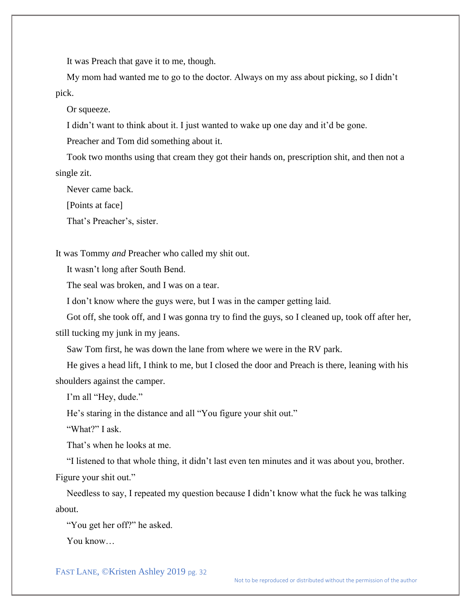It was Preach that gave it to me, though.

My mom had wanted me to go to the doctor. Always on my ass about picking, so I didn't pick.

Or squeeze.

I didn't want to think about it. I just wanted to wake up one day and it'd be gone.

Preacher and Tom did something about it.

Took two months using that cream they got their hands on, prescription shit, and then not a single zit.

Never came back.

[Points at face]

That's Preacher's, sister.

It was Tommy *and* Preacher who called my shit out.

It wasn't long after South Bend.

The seal was broken, and I was on a tear.

I don't know where the guys were, but I was in the camper getting laid.

Got off, she took off, and I was gonna try to find the guys, so I cleaned up, took off after her, still tucking my junk in my jeans.

Saw Tom first, he was down the lane from where we were in the RV park.

He gives a head lift, I think to me, but I closed the door and Preach is there, leaning with his shoulders against the camper.

I'm all "Hey, dude."

He's staring in the distance and all "You figure your shit out."

"What?" I ask.

That's when he looks at me.

"I listened to that whole thing, it didn't last even ten minutes and it was about you, brother.

Figure your shit out."

Needless to say, I repeated my question because I didn't know what the fuck he was talking about.

"You get her off?" he asked.

You know…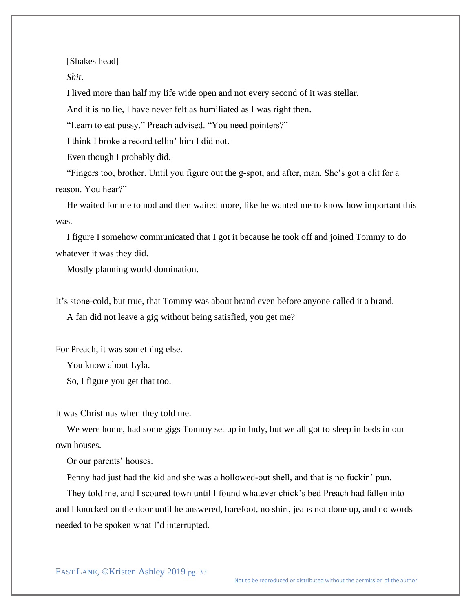[Shakes head]

*Shit*.

I lived more than half my life wide open and not every second of it was stellar.

And it is no lie, I have never felt as humiliated as I was right then.

"Learn to eat pussy," Preach advised. "You need pointers?"

I think I broke a record tellin' him I did not.

Even though I probably did.

"Fingers too, brother. Until you figure out the g-spot, and after, man. She's got a clit for a reason. You hear?"

He waited for me to nod and then waited more, like he wanted me to know how important this was.

I figure I somehow communicated that I got it because he took off and joined Tommy to do whatever it was they did.

Mostly planning world domination.

It's stone-cold, but true, that Tommy was about brand even before anyone called it a brand.

A fan did not leave a gig without being satisfied, you get me?

For Preach, it was something else.

You know about Lyla.

So, I figure you get that too.

It was Christmas when they told me.

We were home, had some gigs Tommy set up in Indy, but we all got to sleep in beds in our own houses.

Or our parents' houses.

Penny had just had the kid and she was a hollowed-out shell, and that is no fuckin' pun.

They told me, and I scoured town until I found whatever chick's bed Preach had fallen into and I knocked on the door until he answered, barefoot, no shirt, jeans not done up, and no words needed to be spoken what I'd interrupted.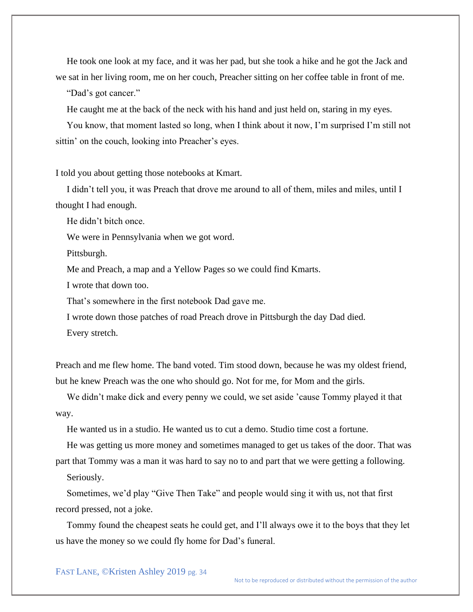He took one look at my face, and it was her pad, but she took a hike and he got the Jack and we sat in her living room, me on her couch, Preacher sitting on her coffee table in front of me.

"Dad's got cancer."

He caught me at the back of the neck with his hand and just held on, staring in my eyes.

You know, that moment lasted so long, when I think about it now, I'm surprised I'm still not sittin' on the couch, looking into Preacher's eyes.

I told you about getting those notebooks at Kmart.

I didn't tell you, it was Preach that drove me around to all of them, miles and miles, until I thought I had enough.

He didn't bitch once.

We were in Pennsylvania when we got word.

Pittsburgh.

Me and Preach, a map and a Yellow Pages so we could find Kmarts.

I wrote that down too.

That's somewhere in the first notebook Dad gave me.

I wrote down those patches of road Preach drove in Pittsburgh the day Dad died.

Every stretch.

Preach and me flew home. The band voted. Tim stood down, because he was my oldest friend, but he knew Preach was the one who should go. Not for me, for Mom and the girls.

We didn't make dick and every penny we could, we set aside 'cause Tommy played it that way.

He wanted us in a studio. He wanted us to cut a demo. Studio time cost a fortune.

He was getting us more money and sometimes managed to get us takes of the door. That was

part that Tommy was a man it was hard to say no to and part that we were getting a following.

Seriously.

Sometimes, we'd play "Give Then Take" and people would sing it with us, not that first record pressed, not a joke.

Tommy found the cheapest seats he could get, and I'll always owe it to the boys that they let us have the money so we could fly home for Dad's funeral.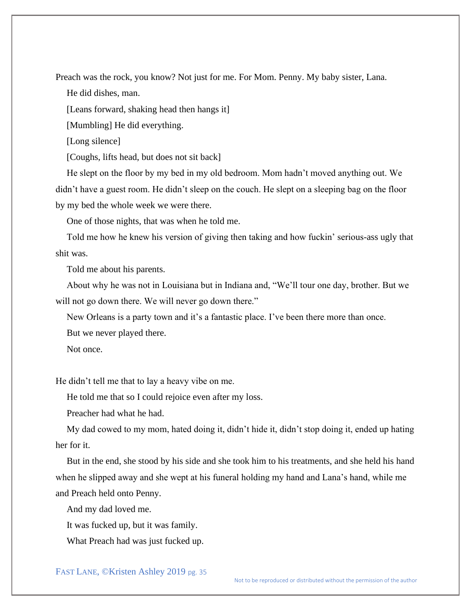Preach was the rock, you know? Not just for me. For Mom. Penny. My baby sister, Lana.

He did dishes, man.

[Leans forward, shaking head then hangs it]

[Mumbling] He did everything.

[Long silence]

[Coughs, lifts head, but does not sit back]

He slept on the floor by my bed in my old bedroom. Mom hadn't moved anything out. We didn't have a guest room. He didn't sleep on the couch. He slept on a sleeping bag on the floor by my bed the whole week we were there.

One of those nights, that was when he told me.

Told me how he knew his version of giving then taking and how fuckin' serious-ass ugly that shit was.

Told me about his parents.

About why he was not in Louisiana but in Indiana and, "We'll tour one day, brother. But we will not go down there. We will never go down there."

New Orleans is a party town and it's a fantastic place. I've been there more than once.

But we never played there.

Not once.

He didn't tell me that to lay a heavy vibe on me.

He told me that so I could rejoice even after my loss.

Preacher had what he had.

My dad cowed to my mom, hated doing it, didn't hide it, didn't stop doing it, ended up hating her for it.

But in the end, she stood by his side and she took him to his treatments, and she held his hand when he slipped away and she wept at his funeral holding my hand and Lana's hand, while me and Preach held onto Penny.

And my dad loved me.

It was fucked up, but it was family.

What Preach had was just fucked up.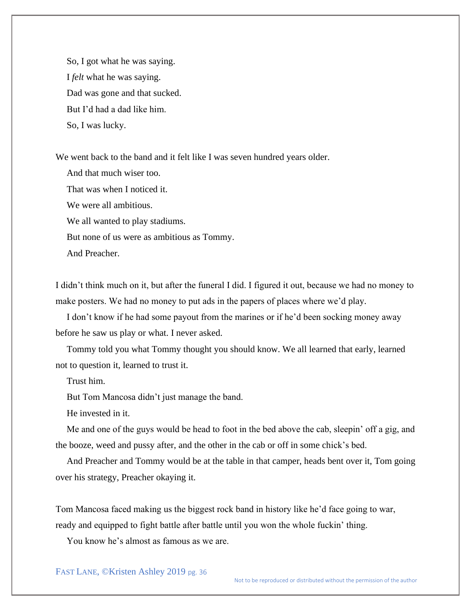So, I got what he was saying. I *felt* what he was saying. Dad was gone and that sucked. But I'd had a dad like him. So, I was lucky.

We went back to the band and it felt like I was seven hundred years older.

And that much wiser too. That was when I noticed it. We were all ambitious. We all wanted to play stadiums. But none of us were as ambitious as Tommy. And Preacher.

I didn't think much on it, but after the funeral I did. I figured it out, because we had no money to make posters. We had no money to put ads in the papers of places where we'd play.

I don't know if he had some payout from the marines or if he'd been socking money away before he saw us play or what. I never asked.

Tommy told you what Tommy thought you should know. We all learned that early, learned not to question it, learned to trust it.

Trust him.

But Tom Mancosa didn't just manage the band.

He invested in it.

Me and one of the guys would be head to foot in the bed above the cab, sleepin' off a gig, and the booze, weed and pussy after, and the other in the cab or off in some chick's bed.

And Preacher and Tommy would be at the table in that camper, heads bent over it, Tom going over his strategy, Preacher okaying it.

Tom Mancosa faced making us the biggest rock band in history like he'd face going to war, ready and equipped to fight battle after battle until you won the whole fuckin' thing.

You know he's almost as famous as we are.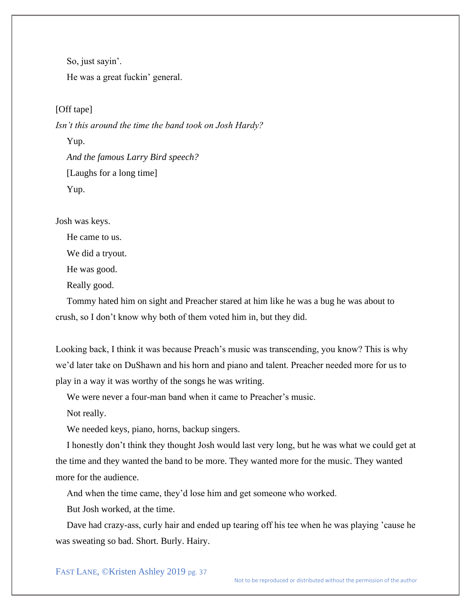So, just sayin'. He was a great fuckin' general.

[Off tape]

*Isn't this around the time the band took on Josh Hardy?*

Yup. *And the famous Larry Bird speech?* [Laughs for a long time] Yup.

Josh was keys.

He came to us.

We did a tryout.

He was good.

Really good.

Tommy hated him on sight and Preacher stared at him like he was a bug he was about to crush, so I don't know why both of them voted him in, but they did.

Looking back, I think it was because Preach's music was transcending, you know? This is why we'd later take on DuShawn and his horn and piano and talent. Preacher needed more for us to play in a way it was worthy of the songs he was writing.

We were never a four-man band when it came to Preacher's music.

Not really.

We needed keys, piano, horns, backup singers.

I honestly don't think they thought Josh would last very long, but he was what we could get at the time and they wanted the band to be more. They wanted more for the music. They wanted more for the audience.

And when the time came, they'd lose him and get someone who worked.

But Josh worked, at the time.

Dave had crazy-ass, curly hair and ended up tearing off his tee when he was playing 'cause he was sweating so bad. Short. Burly. Hairy.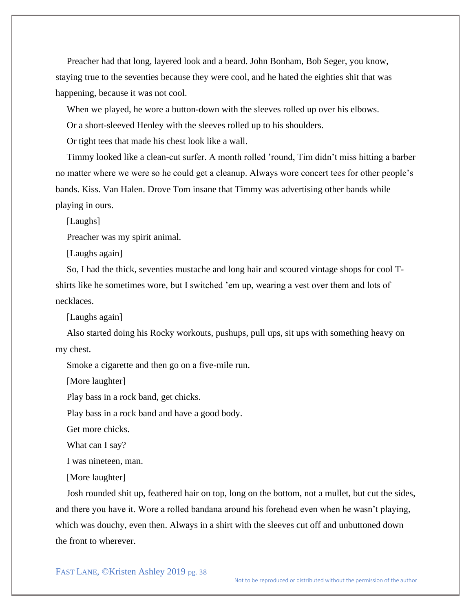Preacher had that long, layered look and a beard. John Bonham, Bob Seger, you know, staying true to the seventies because they were cool, and he hated the eighties shit that was happening, because it was not cool.

When we played, he wore a button-down with the sleeves rolled up over his elbows.

Or a short-sleeved Henley with the sleeves rolled up to his shoulders.

Or tight tees that made his chest look like a wall.

Timmy looked like a clean-cut surfer. A month rolled 'round, Tim didn't miss hitting a barber no matter where we were so he could get a cleanup. Always wore concert tees for other people's bands. Kiss. Van Halen. Drove Tom insane that Timmy was advertising other bands while playing in ours.

[Laughs]

Preacher was my spirit animal.

[Laughs again]

So, I had the thick, seventies mustache and long hair and scoured vintage shops for cool Tshirts like he sometimes wore, but I switched 'em up, wearing a vest over them and lots of necklaces.

[Laughs again]

Also started doing his Rocky workouts, pushups, pull ups, sit ups with something heavy on my chest.

Smoke a cigarette and then go on a five-mile run.

[More laughter]

Play bass in a rock band, get chicks.

Play bass in a rock band and have a good body.

Get more chicks.

What can I say?

I was nineteen, man.

[More laughter]

Josh rounded shit up, feathered hair on top, long on the bottom, not a mullet, but cut the sides, and there you have it. Wore a rolled bandana around his forehead even when he wasn't playing, which was douchy, even then. Always in a shirt with the sleeves cut off and unbuttoned down the front to wherever.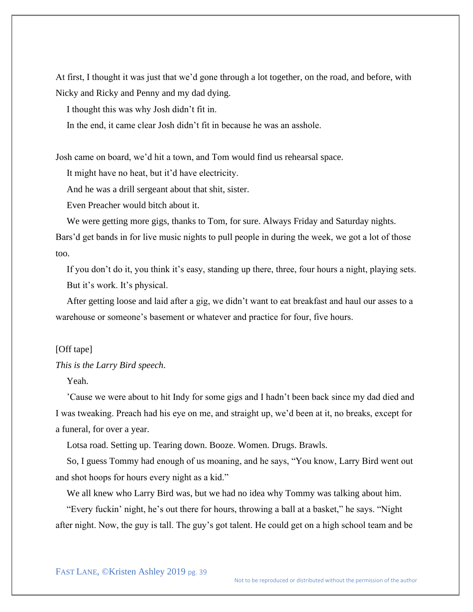At first, I thought it was just that we'd gone through a lot together, on the road, and before, with Nicky and Ricky and Penny and my dad dying.

I thought this was why Josh didn't fit in.

In the end, it came clear Josh didn't fit in because he was an asshole.

Josh came on board, we'd hit a town, and Tom would find us rehearsal space.

It might have no heat, but it'd have electricity.

And he was a drill sergeant about that shit, sister.

Even Preacher would bitch about it.

We were getting more gigs, thanks to Tom, for sure. Always Friday and Saturday nights. Bars'd get bands in for live music nights to pull people in during the week, we got a lot of those too.

If you don't do it, you think it's easy, standing up there, three, four hours a night, playing sets. But it's work. It's physical.

After getting loose and laid after a gig, we didn't want to eat breakfast and haul our asses to a warehouse or someone's basement or whatever and practice for four, five hours.

### [Off tape]

#### *This is the Larry Bird speech*.

Yeah.

'Cause we were about to hit Indy for some gigs and I hadn't been back since my dad died and I was tweaking. Preach had his eye on me, and straight up, we'd been at it, no breaks, except for a funeral, for over a year.

Lotsa road. Setting up. Tearing down. Booze. Women. Drugs. Brawls.

So, I guess Tommy had enough of us moaning, and he says, "You know, Larry Bird went out and shot hoops for hours every night as a kid."

We all knew who Larry Bird was, but we had no idea why Tommy was talking about him.

"Every fuckin' night, he's out there for hours, throwing a ball at a basket," he says. "Night after night. Now, the guy is tall. The guy's got talent. He could get on a high school team and be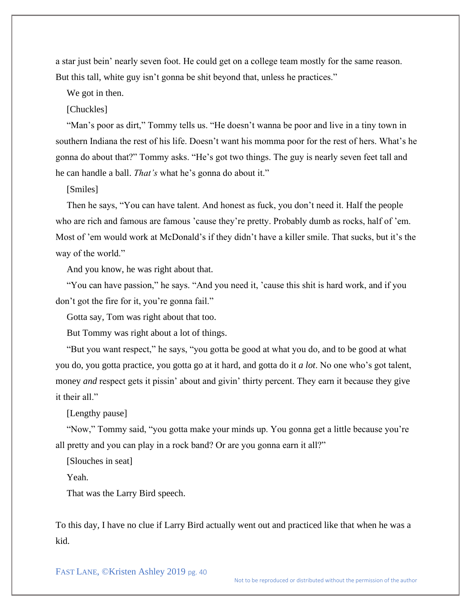a star just bein' nearly seven foot. He could get on a college team mostly for the same reason. But this tall, white guy isn't gonna be shit beyond that, unless he practices."

We got in then.

[Chuckles]

"Man's poor as dirt," Tommy tells us. "He doesn't wanna be poor and live in a tiny town in southern Indiana the rest of his life. Doesn't want his momma poor for the rest of hers. What's he gonna do about that?" Tommy asks. "He's got two things. The guy is nearly seven feet tall and he can handle a ball. *That's* what he's gonna do about it."

[Smiles]

Then he says, "You can have talent. And honest as fuck, you don't need it. Half the people who are rich and famous are famous 'cause they're pretty. Probably dumb as rocks, half of 'em. Most of 'em would work at McDonald's if they didn't have a killer smile. That sucks, but it's the way of the world."

And you know, he was right about that.

"You can have passion," he says. "And you need it, 'cause this shit is hard work, and if you don't got the fire for it, you're gonna fail."

Gotta say, Tom was right about that too.

But Tommy was right about a lot of things.

"But you want respect," he says, "you gotta be good at what you do, and to be good at what you do, you gotta practice, you gotta go at it hard, and gotta do it *a lot*. No one who's got talent, money *and* respect gets it pissin' about and givin' thirty percent. They earn it because they give it their all."

[Lengthy pause]

"Now," Tommy said, "you gotta make your minds up. You gonna get a little because you're all pretty and you can play in a rock band? Or are you gonna earn it all?"

[Slouches in seat]

Yeah.

That was the Larry Bird speech.

To this day, I have no clue if Larry Bird actually went out and practiced like that when he was a kid.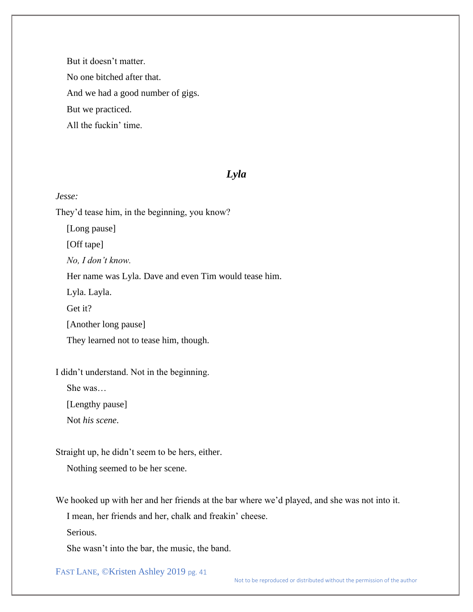But it doesn't matter. No one bitched after that. And we had a good number of gigs. But we practiced. All the fuckin' time.

# *Lyla*

### *Jesse:*

They'd tease him, in the beginning, you know? [Long pause] [Off tape] *No, I don't know.* Her name was Lyla. Dave and even Tim would tease him. Lyla. Layla. Get it? [Another long pause] They learned not to tease him, though.

I didn't understand. Not in the beginning.

She was…

[Lengthy pause]

Not *his scene*.

Straight up, he didn't seem to be hers, either.

Nothing seemed to be her scene.

We hooked up with her and her friends at the bar where we'd played, and she was not into it.

I mean, her friends and her, chalk and freakin' cheese.

Serious.

She wasn't into the bar, the music, the band.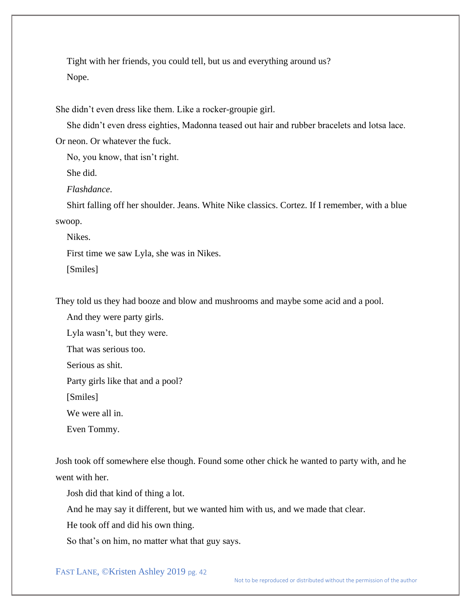Tight with her friends, you could tell, but us and everything around us? Nope.

She didn't even dress like them. Like a rocker-groupie girl.

She didn't even dress eighties, Madonna teased out hair and rubber bracelets and lotsa lace.

Or neon. Or whatever the fuck.

No, you know, that isn't right.

She did.

*Flashdance*.

Shirt falling off her shoulder. Jeans. White Nike classics. Cortez. If I remember, with a blue swoop.

Nikes.

First time we saw Lyla, she was in Nikes.

[Smiles]

They told us they had booze and blow and mushrooms and maybe some acid and a pool.

And they were party girls.

Lyla wasn't, but they were.

That was serious too.

Serious as shit.

Party girls like that and a pool?

[Smiles]

We were all in.

Even Tommy.

Josh took off somewhere else though. Found some other chick he wanted to party with, and he went with her.

Josh did that kind of thing a lot.

And he may say it different, but we wanted him with us, and we made that clear.

He took off and did his own thing.

So that's on him, no matter what that guy says.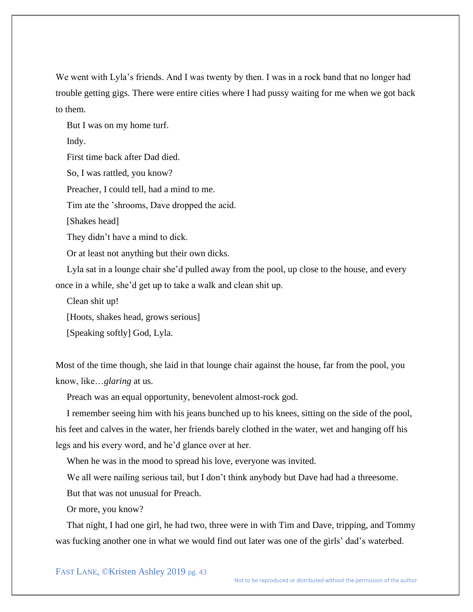We went with Lyla's friends. And I was twenty by then. I was in a rock band that no longer had trouble getting gigs. There were entire cities where I had pussy waiting for me when we got back to them.

But I was on my home turf.

Indy.

First time back after Dad died.

So, I was rattled, you know?

Preacher, I could tell, had a mind to me.

Tim ate the 'shrooms, Dave dropped the acid.

[Shakes head]

They didn't have a mind to dick.

Or at least not anything but their own dicks.

Lyla sat in a lounge chair she'd pulled away from the pool, up close to the house, and every once in a while, she'd get up to take a walk and clean shit up.

Clean shit up!

[Hoots, shakes head, grows serious]

[Speaking softly] God, Lyla.

Most of the time though, she laid in that lounge chair against the house, far from the pool, you know, like…*glaring* at us.

Preach was an equal opportunity, benevolent almost-rock god.

I remember seeing him with his jeans bunched up to his knees, sitting on the side of the pool, his feet and calves in the water, her friends barely clothed in the water, wet and hanging off his legs and his every word, and he'd glance over at her.

When he was in the mood to spread his love, everyone was invited.

We all were nailing serious tail, but I don't think anybody but Dave had had a threesome. But that was not unusual for Preach.

Or more, you know?

That night, I had one girl, he had two, three were in with Tim and Dave, tripping, and Tommy was fucking another one in what we would find out later was one of the girls' dad's waterbed.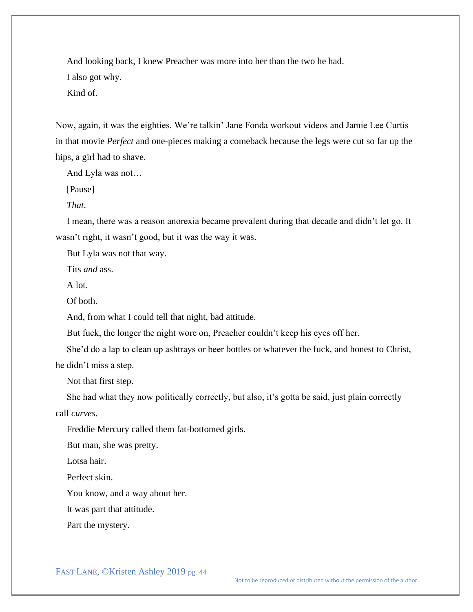And looking back, I knew Preacher was more into her than the two he had.

I also got why.

Kind of.

Now, again, it was the eighties. We're talkin' Jane Fonda workout videos and Jamie Lee Curtis in that movie *Perfect* and one-pieces making a comeback because the legs were cut so far up the hips, a girl had to shave.

And Lyla was not…

[Pause]

*That*.

I mean, there was a reason anorexia became prevalent during that decade and didn't let go. It wasn't right, it wasn't good, but it was the way it was.

But Lyla was not that way.

Tits *and* ass.

A lot.

Of both.

And, from what I could tell that night, bad attitude.

But fuck, the longer the night wore on, Preacher couldn't keep his eyes off her.

She'd do a lap to clean up ashtrays or beer bottles or whatever the fuck, and honest to Christ, he didn't miss a step.

Not that first step.

She had what they now politically correctly, but also, it's gotta be said, just plain correctly call *curves*.

Freddie Mercury called them fat-bottomed girls.

But man, she was pretty.

Lotsa hair.

Perfect skin.

You know, and a way about her.

It was part that attitude.

Part the mystery.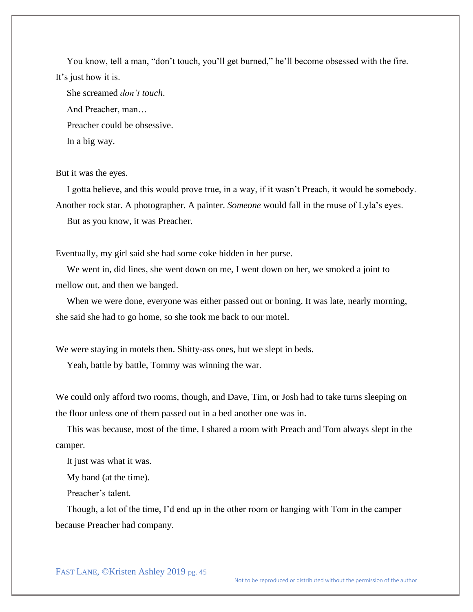You know, tell a man, "don't touch, you'll get burned," he'll become obsessed with the fire. It's just how it is.

She screamed *don't touch*. And Preacher, man… Preacher could be obsessive. In a big way.

But it was the eyes.

I gotta believe, and this would prove true, in a way, if it wasn't Preach, it would be somebody. Another rock star. A photographer. A painter. *Someone* would fall in the muse of Lyla's eyes.

But as you know, it was Preacher.

Eventually, my girl said she had some coke hidden in her purse.

We went in, did lines, she went down on me, I went down on her, we smoked a joint to mellow out, and then we banged.

When we were done, everyone was either passed out or boning. It was late, nearly morning, she said she had to go home, so she took me back to our motel.

We were staying in motels then. Shitty-ass ones, but we slept in beds.

Yeah, battle by battle, Tommy was winning the war.

We could only afford two rooms, though, and Dave, Tim, or Josh had to take turns sleeping on the floor unless one of them passed out in a bed another one was in.

This was because, most of the time, I shared a room with Preach and Tom always slept in the camper.

It just was what it was.

My band (at the time).

Preacher's talent.

Though, a lot of the time, I'd end up in the other room or hanging with Tom in the camper because Preacher had company.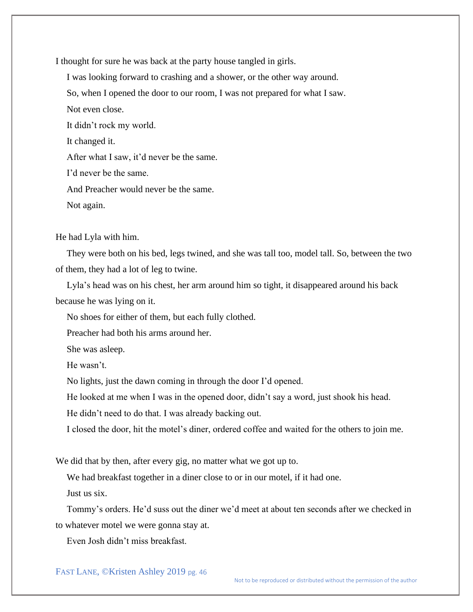I thought for sure he was back at the party house tangled in girls.

I was looking forward to crashing and a shower, or the other way around.

So, when I opened the door to our room, I was not prepared for what I saw.

Not even close.

It didn't rock my world.

It changed it.

After what I saw, it'd never be the same.

I'd never be the same.

And Preacher would never be the same.

Not again.

He had Lyla with him.

They were both on his bed, legs twined, and she was tall too, model tall. So, between the two of them, they had a lot of leg to twine.

Lyla's head was on his chest, her arm around him so tight, it disappeared around his back because he was lying on it.

No shoes for either of them, but each fully clothed.

Preacher had both his arms around her.

She was asleep.

He wasn't.

No lights, just the dawn coming in through the door I'd opened.

He looked at me when I was in the opened door, didn't say a word, just shook his head.

He didn't need to do that. I was already backing out.

I closed the door, hit the motel's diner, ordered coffee and waited for the others to join me.

We did that by then, after every gig, no matter what we got up to.

We had breakfast together in a diner close to or in our motel, if it had one.

Just us six.

Tommy's orders. He'd suss out the diner we'd meet at about ten seconds after we checked in to whatever motel we were gonna stay at.

Even Josh didn't miss breakfast.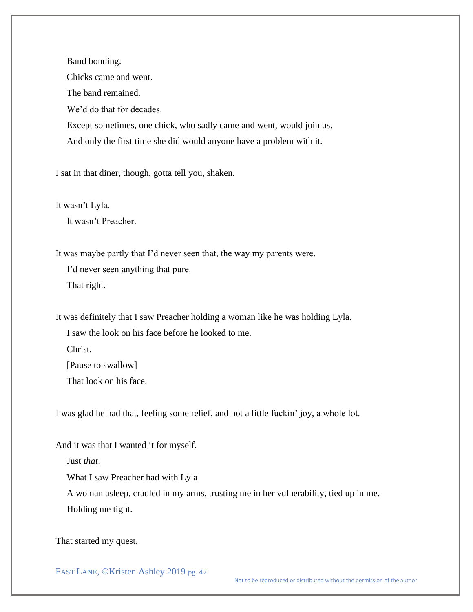Band bonding. Chicks came and went. The band remained. We'd do that for decades. Except sometimes, one chick, who sadly came and went, would join us. And only the first time she did would anyone have a problem with it.

I sat in that diner, though, gotta tell you, shaken.

It wasn't Lyla.

It wasn't Preacher.

It was maybe partly that I'd never seen that, the way my parents were.

I'd never seen anything that pure. That right.

It was definitely that I saw Preacher holding a woman like he was holding Lyla.

I saw the look on his face before he looked to me.

Christ.

[Pause to swallow]

That look on his face.

I was glad he had that, feeling some relief, and not a little fuckin' joy, a whole lot.

And it was that I wanted it for myself.

Just *that*.

What I saw Preacher had with Lyla

A woman asleep, cradled in my arms, trusting me in her vulnerability, tied up in me. Holding me tight.

That started my quest.